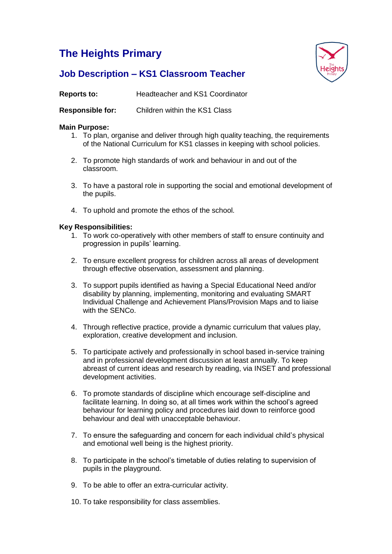# **The Heights Primary**



# **Job Description – KS1 Classroom Teacher**

**Reports to:** Headteacher and KS1 Coordinator

**Responsible for:** Children within the KS1 Class

# **Main Purpose:**

- 1. To plan, organise and deliver through high quality teaching, the requirements of the National Curriculum for KS1 classes in keeping with school policies.
- 2. To promote high standards of work and behaviour in and out of the classroom.
- 3. To have a pastoral role in supporting the social and emotional development of the pupils.
- 4. To uphold and promote the ethos of the school.

## **Key Responsibilities:**

- 1. To work co-operatively with other members of staff to ensure continuity and progression in pupils' learning.
- 2. To ensure excellent progress for children across all areas of development through effective observation, assessment and planning.
- 3. To support pupils identified as having a Special Educational Need and/or disability by planning, implementing, monitoring and evaluating SMART Individual Challenge and Achievement Plans/Provision Maps and to liaise with the SENCo.
- 4. Through reflective practice, provide a dynamic curriculum that values play, exploration, creative development and inclusion.
- 5. To participate actively and professionally in school based in-service training and in professional development discussion at least annually. To keep abreast of current ideas and research by reading, via INSET and professional development activities.
- 6. To promote standards of discipline which encourage self-discipline and facilitate learning. In doing so, at all times work within the school's agreed behaviour for learning policy and procedures laid down to reinforce good behaviour and deal with unacceptable behaviour.
- 7. To ensure the safeguarding and concern for each individual child's physical and emotional well being is the highest priority.
- 8. To participate in the school's timetable of duties relating to supervision of pupils in the playground.
- 9. To be able to offer an extra-curricular activity.
- 10. To take responsibility for class assemblies.